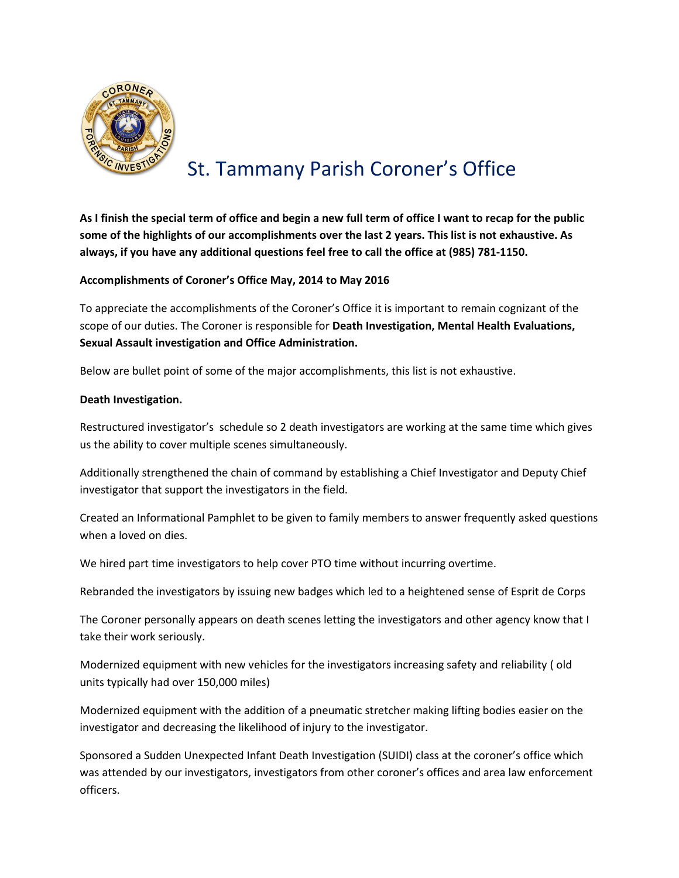

# St. Tammany Parish Coroner's Office

**As I finish the special term of office and begin a new full term of office I want to recap for the public some of the highlights of our accomplishments over the last 2 years. This list is not exhaustive. As always, if you have any additional questions feel free to call the office at (985) 781-1150.**

# **Accomplishments of Coroner's Office May, 2014 to May 2016**

To appreciate the accomplishments of the Coroner's Office it is important to remain cognizant of the scope of our duties. The Coroner is responsible for **Death Investigation, Mental Health Evaluations, Sexual Assault investigation and Office Administration.**

Below are bullet point of some of the major accomplishments, this list is not exhaustive.

# **Death Investigation.**

Restructured investigator's schedule so 2 death investigators are working at the same time which gives us the ability to cover multiple scenes simultaneously.

Additionally strengthened the chain of command by establishing a Chief Investigator and Deputy Chief investigator that support the investigators in the field.

Created an Informational Pamphlet to be given to family members to answer frequently asked questions when a loved on dies.

We hired part time investigators to help cover PTO time without incurring overtime.

Rebranded the investigators by issuing new badges which led to a heightened sense of Esprit de Corps

The Coroner personally appears on death scenes letting the investigators and other agency know that I take their work seriously.

Modernized equipment with new vehicles for the investigators increasing safety and reliability ( old units typically had over 150,000 miles)

Modernized equipment with the addition of a pneumatic stretcher making lifting bodies easier on the investigator and decreasing the likelihood of injury to the investigator.

Sponsored a Sudden Unexpected Infant Death Investigation (SUIDI) class at the coroner's office which was attended by our investigators, investigators from other coroner's offices and area law enforcement officers.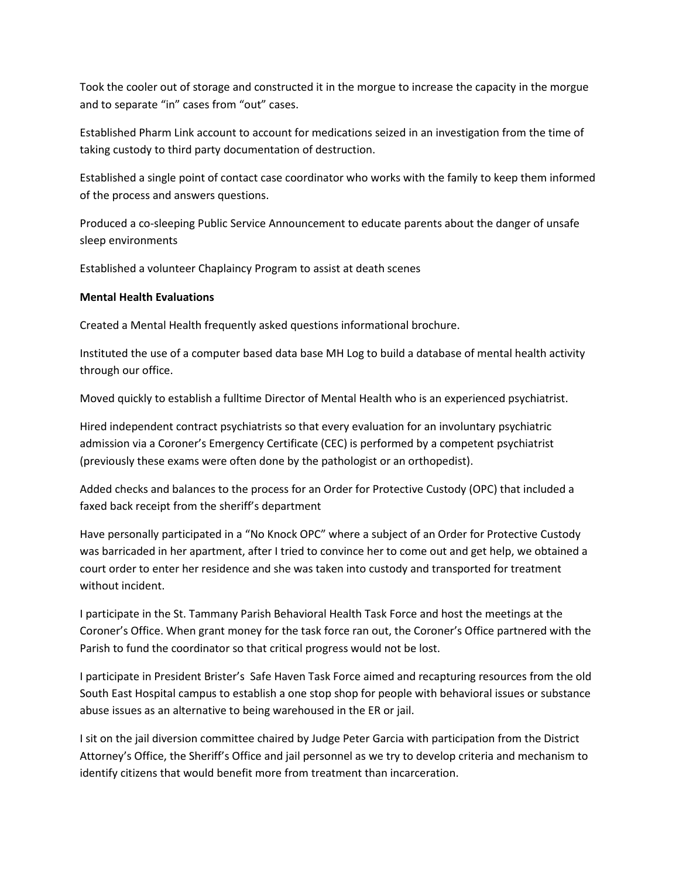Took the cooler out of storage and constructed it in the morgue to increase the capacity in the morgue and to separate "in" cases from "out" cases.

Established Pharm Link account to account for medications seized in an investigation from the time of taking custody to third party documentation of destruction.

Established a single point of contact case coordinator who works with the family to keep them informed of the process and answers questions.

Produced a co-sleeping Public Service Announcement to educate parents about the danger of unsafe sleep environments

Established a volunteer Chaplaincy Program to assist at death scenes

# **Mental Health Evaluations**

Created a Mental Health frequently asked questions informational brochure.

Instituted the use of a computer based data base MH Log to build a database of mental health activity through our office.

Moved quickly to establish a fulltime Director of Mental Health who is an experienced psychiatrist.

Hired independent contract psychiatrists so that every evaluation for an involuntary psychiatric admission via a Coroner's Emergency Certificate (CEC) is performed by a competent psychiatrist (previously these exams were often done by the pathologist or an orthopedist).

Added checks and balances to the process for an Order for Protective Custody (OPC) that included a faxed back receipt from the sheriff's department

Have personally participated in a "No Knock OPC" where a subject of an Order for Protective Custody was barricaded in her apartment, after I tried to convince her to come out and get help, we obtained a court order to enter her residence and she was taken into custody and transported for treatment without incident.

I participate in the St. Tammany Parish Behavioral Health Task Force and host the meetings at the Coroner's Office. When grant money for the task force ran out, the Coroner's Office partnered with the Parish to fund the coordinator so that critical progress would not be lost.

I participate in President Brister's Safe Haven Task Force aimed and recapturing resources from the old South East Hospital campus to establish a one stop shop for people with behavioral issues or substance abuse issues as an alternative to being warehoused in the ER or jail.

I sit on the jail diversion committee chaired by Judge Peter Garcia with participation from the District Attorney's Office, the Sheriff's Office and jail personnel as we try to develop criteria and mechanism to identify citizens that would benefit more from treatment than incarceration.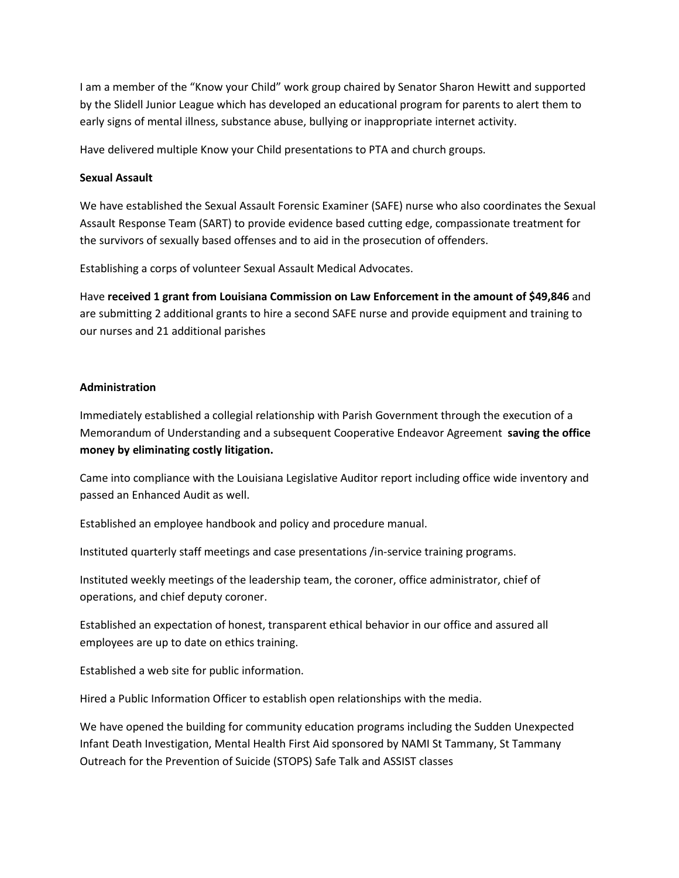I am a member of the "Know your Child" work group chaired by Senator Sharon Hewitt and supported by the Slidell Junior League which has developed an educational program for parents to alert them to early signs of mental illness, substance abuse, bullying or inappropriate internet activity.

Have delivered multiple Know your Child presentations to PTA and church groups.

#### **Sexual Assault**

We have established the Sexual Assault Forensic Examiner (SAFE) nurse who also coordinates the Sexual Assault Response Team (SART) to provide evidence based cutting edge, compassionate treatment for the survivors of sexually based offenses and to aid in the prosecution of offenders.

Establishing a corps of volunteer Sexual Assault Medical Advocates.

Have **received 1 grant from Louisiana Commission on Law Enforcement in the amount of \$49,846** and are submitting 2 additional grants to hire a second SAFE nurse and provide equipment and training to our nurses and 21 additional parishes

# **Administration**

Immediately established a collegial relationship with Parish Government through the execution of a Memorandum of Understanding and a subsequent Cooperative Endeavor Agreement **saving the office money by eliminating costly litigation.**

Came into compliance with the Louisiana Legislative Auditor report including office wide inventory and passed an Enhanced Audit as well.

Established an employee handbook and policy and procedure manual.

Instituted quarterly staff meetings and case presentations /in-service training programs.

Instituted weekly meetings of the leadership team, the coroner, office administrator, chief of operations, and chief deputy coroner.

Established an expectation of honest, transparent ethical behavior in our office and assured all employees are up to date on ethics training.

Established a web site for public information.

Hired a Public Information Officer to establish open relationships with the media.

We have opened the building for community education programs including the Sudden Unexpected Infant Death Investigation, Mental Health First Aid sponsored by NAMI St Tammany, St Tammany Outreach for the Prevention of Suicide (STOPS) Safe Talk and ASSIST classes